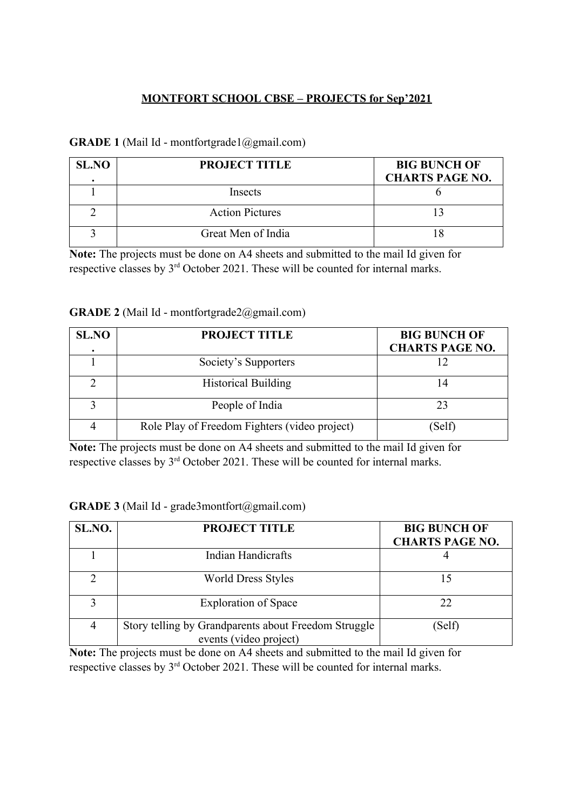### **MONTFORT SCHOOL CBSE – PROJECTS for Sep'2021**

### **GRADE 1** (Mail Id - montfortgrade1@gmail.com)

| <b>SL.NO</b> | <b>PROJECT TITLE</b>   | <b>BIG BUNCH OF</b><br><b>CHARTS PAGE NO.</b> |
|--------------|------------------------|-----------------------------------------------|
|              | Insects                |                                               |
|              | <b>Action Pictures</b> |                                               |
|              | Great Men of India     |                                               |

**Note:** The projects must be done on A4 sheets and submitted to the mail Id given for respective classes by  $3<sup>rd</sup>$  October 2021. These will be counted for internal marks.

|  | <b>GRADE 2</b> (Mail Id - montfortgrade2@gmail.com) |  |
|--|-----------------------------------------------------|--|
|  |                                                     |  |

| <b>SL.NO</b> | <b>PROJECT TITLE</b>                          | <b>BIG BUNCH OF</b><br><b>CHARTS PAGE NO.</b> |
|--------------|-----------------------------------------------|-----------------------------------------------|
|              | Society's Supporters                          |                                               |
|              | <b>Historical Building</b>                    |                                               |
|              | People of India                               | 23                                            |
|              | Role Play of Freedom Fighters (video project) | (Self)                                        |

**Note:** The projects must be done on A4 sheets and submitted to the mail Id given for respective classes by 3rd October 2021. These will be counted for internal marks.

|  |  | GRADE 3 (Mail Id - grade3montfort@gmail.com) |  |  |
|--|--|----------------------------------------------|--|--|
|--|--|----------------------------------------------|--|--|

| SL.NO.        | <b>PROJECT TITLE</b>                                                           | <b>BIG BUNCH OF</b><br><b>CHARTS PAGE NO.</b> |
|---------------|--------------------------------------------------------------------------------|-----------------------------------------------|
|               | Indian Handicrafts                                                             |                                               |
| $\mathcal{D}$ | <b>World Dress Styles</b>                                                      | 15                                            |
| 2             | <b>Exploration of Space</b>                                                    | 22                                            |
| 4             | Story telling by Grandparents about Freedom Struggle<br>events (video project) | (Self)                                        |

**Note:** The projects must be done on A4 sheets and submitted to the mail Id given for respective classes by 3rd October 2021. These will be counted for internal marks.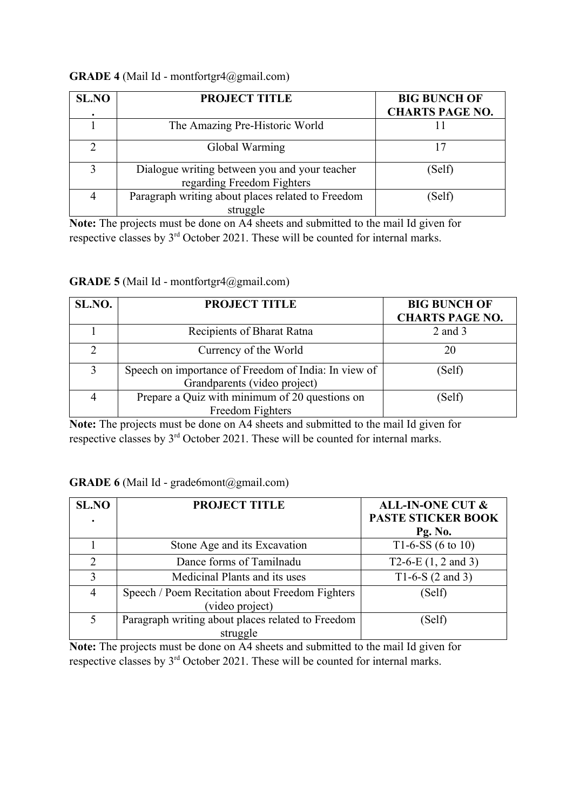#### **GRADE 4** (Mail Id - montfortgr4@gmail.com)

| <b>SL.NO</b> | <b>PROJECT TITLE</b>                                                        | <b>BIG BUNCH OF</b><br><b>CHARTS PAGE NO.</b> |
|--------------|-----------------------------------------------------------------------------|-----------------------------------------------|
|              | The Amazing Pre-Historic World                                              |                                               |
|              | Global Warming                                                              |                                               |
|              | Dialogue writing between you and your teacher<br>regarding Freedom Fighters | (Self)                                        |
|              | Paragraph writing about places related to Freedom<br>struggle               | (Self)                                        |

**Note:** The projects must be done on A4 sheets and submitted to the mail Id given for respective classes by  $3<sup>rd</sup>$  October 2021. These will be counted for internal marks.

#### **GRADE 5** (Mail Id - montfortgr4@gmail.com)

| SL.NO. | <b>PROJECT TITLE</b>                                                                 | <b>BIG BUNCH OF</b><br><b>CHARTS PAGE NO.</b> |
|--------|--------------------------------------------------------------------------------------|-----------------------------------------------|
|        | Recipients of Bharat Ratna                                                           | $2$ and $3$                                   |
| 2      | Currency of the World                                                                | 20                                            |
| 3      | Speech on importance of Freedom of India: In view of<br>Grandparents (video project) | (Self)                                        |
|        | Prepare a Quiz with minimum of 20 questions on<br>Freedom Fighters                   | (Self)                                        |

**Note:** The projects must be done on A4 sheets and submitted to the mail Id given for respective classes by 3rd October 2021. These will be counted for internal marks.

#### **GRADE 6** (Mail Id - grade6mont@gmail.com)

| <b>SL.NO</b>   | <b>PROJECT TITLE</b>                              | <b>ALL-IN-ONE CUT &amp;</b>  |
|----------------|---------------------------------------------------|------------------------------|
|                |                                                   | <b>PASTE STICKER BOOK</b>    |
|                |                                                   | Pg. No.                      |
|                | Stone Age and its Excavation                      | T1-6-SS $(6 \text{ to } 10)$ |
| $\mathcal{D}$  | Dance forms of Tamilnadu                          | T2-6-E $(1, 2$ and 3)        |
| 3              | Medicinal Plants and its uses                     | T1-6-S $(2 \text{ and } 3)$  |
| $\overline{4}$ | Speech / Poem Recitation about Freedom Fighters   | (Self)                       |
|                | (video project)                                   |                              |
| 5              | Paragraph writing about places related to Freedom | (Self)                       |
|                | struggle                                          |                              |

**Note:** The projects must be done on A4 sheets and submitted to the mail Id given for respective classes by 3<sup>rd</sup> October 2021. These will be counted for internal marks.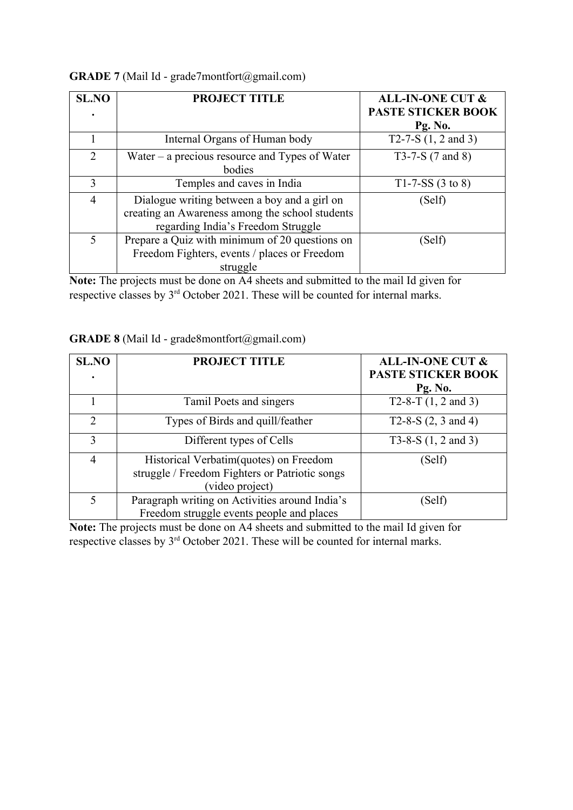| <b>SL.NO</b>   | <b>PROJECT TITLE</b>                                                                                                                  | <b>ALL-IN-ONE CUT &amp;</b><br><b>PASTE STICKER BOOK</b> |
|----------------|---------------------------------------------------------------------------------------------------------------------------------------|----------------------------------------------------------|
|                | Internal Organs of Human body                                                                                                         | Pg. No.<br>T2-7-S $(1, 2$ and 3)                         |
| $\overline{2}$ | Water $-$ a precious resource and Types of Water<br>bodies                                                                            | T3-7-S $(7 \text{ and } 8)$                              |
| 3              | Temples and caves in India                                                                                                            | T1-7-SS $(3 \text{ to } 8)$                              |
| $\overline{4}$ | Dialogue writing between a boy and a girl on<br>creating an Awareness among the school students<br>regarding India's Freedom Struggle | (Self)                                                   |
| 5              | Prepare a Quiz with minimum of 20 questions on<br>Freedom Fighters, events / places or Freedom<br>struggle                            | (Self)                                                   |

# **GRADE 7** (Mail Id - grade7montfort@gmail.com)

**Note:** The projects must be done on A4 sheets and submitted to the mail Id given for respective classes by 3rd October 2021. These will be counted for internal marks.

|  |  | GRADE 8 (Mail Id - grade8montfort@gmail.com) |  |
|--|--|----------------------------------------------|--|
|--|--|----------------------------------------------|--|

| <b>SL.NO</b> | <b>PROJECT TITLE</b>                                                                                         | <b>ALL-IN-ONE CUT &amp;</b><br><b>PASTE STICKER BOOK</b><br>Pg. No. |
|--------------|--------------------------------------------------------------------------------------------------------------|---------------------------------------------------------------------|
|              | Tamil Poets and singers                                                                                      | T2-8-T $(1, 2$ and 3)                                               |
| 2            | Types of Birds and quill/feather                                                                             | T2-8-S $(2, 3 \text{ and } 4)$                                      |
| 3            | Different types of Cells                                                                                     | T3-8-S $(1, 2 \text{ and } 3)$                                      |
| 4            | Historical Verbatim (quotes) on Freedom<br>struggle / Freedom Fighters or Patriotic songs<br>(video project) | (Self)                                                              |
| 5            | Paragraph writing on Activities around India's<br>Freedom struggle events people and places                  | (Self)                                                              |

**Note:** The projects must be done on A4 sheets and submitted to the mail Id given for respective classes by  $3<sup>rd</sup>$  October 2021. These will be counted for internal marks.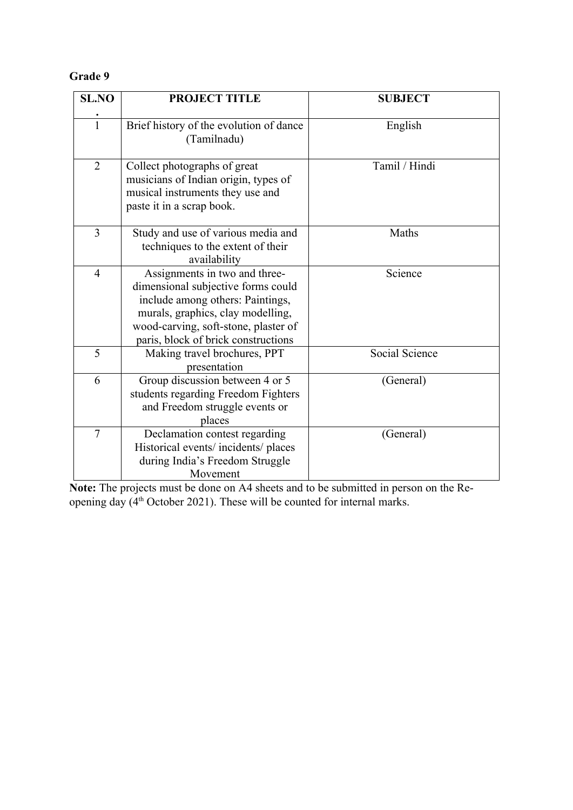# **Grade 9**

| <b>SL.NO</b>   | <b>PROJECT TITLE</b>                                                                                                                                                                                                        | <b>SUBJECT</b> |
|----------------|-----------------------------------------------------------------------------------------------------------------------------------------------------------------------------------------------------------------------------|----------------|
| $\overline{1}$ | Brief history of the evolution of dance<br>(Tamilnadu)                                                                                                                                                                      | English        |
| $\overline{2}$ | Collect photographs of great<br>musicians of Indian origin, types of<br>musical instruments they use and<br>paste it in a scrap book.                                                                                       | Tamil / Hindi  |
| 3              | Study and use of various media and<br>techniques to the extent of their<br>availability                                                                                                                                     | Maths          |
| $\overline{4}$ | Assignments in two and three-<br>dimensional subjective forms could<br>include among others: Paintings,<br>murals, graphics, clay modelling,<br>wood-carving, soft-stone, plaster of<br>paris, block of brick constructions | Science        |
| 5              | Making travel brochures, PPT<br>presentation                                                                                                                                                                                | Social Science |
| 6              | Group discussion between 4 or 5<br>students regarding Freedom Fighters<br>and Freedom struggle events or<br>places                                                                                                          | (General)      |
| $\overline{7}$ | Declamation contest regarding<br>Historical events/incidents/places<br>during India's Freedom Struggle<br>Movement                                                                                                          | (General)      |

**Note:** The projects must be done on A4 sheets and to be submitted in person on the Reopening day (4<sup>th</sup> October 2021). These will be counted for internal marks.